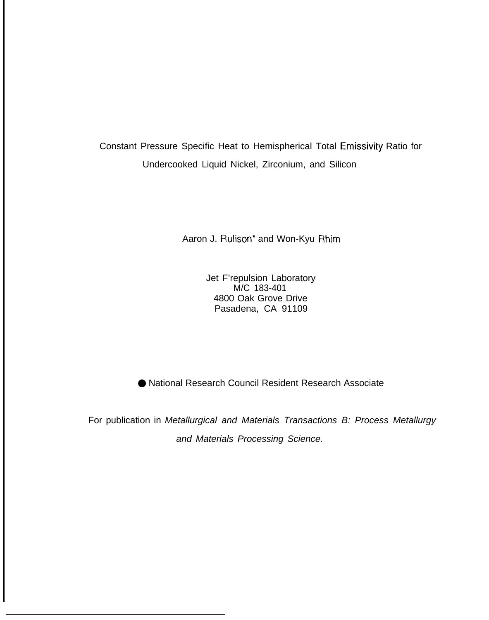Constant Pressure Specific Heat to Hemispherical Total Emissivity Ratio for Undercooked Liquid Nickel, Zirconium, and Silicon

Aaron J. Rulison<sup>\*</sup> and Won-Kyu Rhim

Jet F'repulsion Laboratory M/C 183-401 4800 Oak Grove Drive Pasadena, CA 91109

● National Research Council Resident Research Associate

For publication in Metallurgical and Materials Transactions B: Process Metallurgy and Materials Processing Science.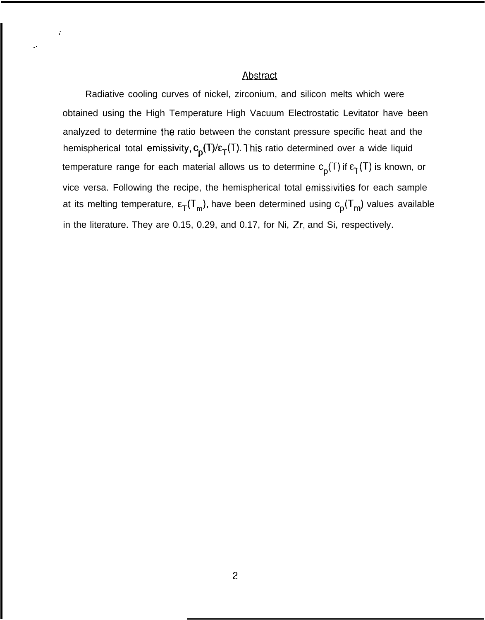#### Abstract

,'

. .

Radiative cooling curves of nickel, zirconium, and silicon melts which were obtained using the High Temperature High Vacuum Electrostatic Levitator have been analyzed to determine the ratio between the constant pressure specific heat and the hemispherical total emissivity,  $c_p(T)/\epsilon_T(T)$ . This ratio determined over a wide liquid temperature range for each material allows us to determine  $c_p(T)$  if  $\epsilon_T(T)$  is known, or vice versa. Following the recipe, the hemispherical total emissivities for each sample at its melting temperature,  $\epsilon_T(T_m)$ , have been determined using  $c_p(T_m)$  values available in the literature. They are 0.15, 0.29, and 0.17, for Ni, Zr, and Si, respectively.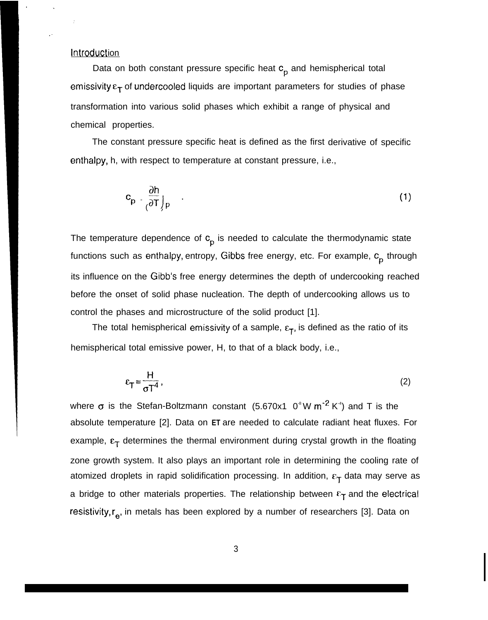#### **Introduction**

Data on both constant pressure specific heat  $c_p$  and hemispherical total emissivity  $\varepsilon_T$  of undercooled liquids are important parameters for studies of phase transformation into various solid phases which exhibit a range of physical and chemical properties.

The constant pressure specific heat is defined as the first derivative of specific enthalpy, h, with respect to temperature at constant pressure, i.e.,

$$
c_p = \frac{\partial h}{\partial T}\Big|_p \qquad (1)
$$

The temperature dependence of  $c_p$  is needed to calculate the thermodynamic state functions such as enthalpy, entropy, Gibbs free energy, etc. For example,  $c_p^{\phantom{\dag}}$  through its influence on the Gibb's free energy determines the depth of undercooking reached before the onset of solid phase nucleation. The depth of undercooking allows us to control the phases and microstructure of the solid product [1].

The total hemispherical emissivity of a sample,  $\varepsilon_T$ , is defined as the ratio of its hemispherical total emissive power, H, to that of a black body, i.e.,

$$
\varepsilon_{\mathsf{T}} = \frac{\mathsf{H}}{\sigma \mathsf{T}^4} \,, \tag{2}
$$

where  $\sigma$  is the Stefan-Boltzmann constant (5.670x1 0<sup>®</sup>W m<sup>-2</sup> K<sup>+</sup>) and T is the absolute temperature [2]. Data on **ET** are needed to calculate radiant heat fluxes. For example,  $\epsilon_{\tau}$  determines the thermal environment during crystal growth in the floating zone growth system. It also plays an important role in determining the cooling rate of atomized droplets in rapid solidification processing. In addition,  $\epsilon_T$  data may serve as a bridge to other materials properties. The relationship between  $\epsilon_{\Upsilon}$  and the electrical resistivity,  $r_{e}$ , in metals has been explored by a number of researchers [3]. Data on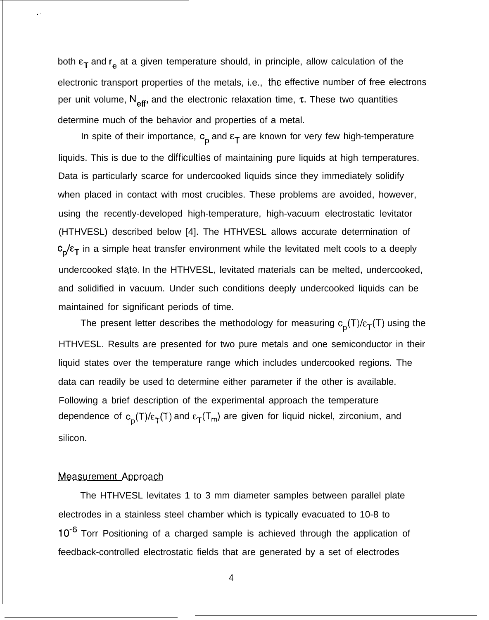both  $\epsilon_T$  and  $r_e$  at a given temperature should, in principle, allow calculation of the electronic transport properties of the metals, i.e., the effective number of free electrons per unit volume,  $N_{\text{eff}}$ , and the electronic relaxation time,  $\tau$ . These two quantities determine much of the behavior and properties of a metal.

In spite of their importance,  $c_p$  and  $\epsilon_T$  are known for very few high-temperature liquids. This is due to the ciifficulties of maintaining pure liquids at high temperatures. Data is particularly scarce for undercooked liquids since they immediately solidify when placed in contact with most crucibles. These problems are avoided, however, using the recently-developed high-temperature, high-vacuum electrostatic levitator (HTHVESL) described below [4]. The HTHVESL allows accurate determination of  $c_p/\epsilon_T$  in a simple heat transfer environment while the levitated melt cools to a deeply undercooked state. In the HTHVESL, levitated materials can be melted, undercooked, and solidified in vacuum. Under such conditions deeply undercooked liquids can be maintained for significant periods of time.

The present letter describes the methodology for measuring  $c_p(T)/\epsilon_T(T)$  using the HTHVESL. Results are presented for two pure metals and one semiconductor in their liquid states over the temperature range which includes undercooked regions. The data can readily be used to determine either parameter if the other is available. Following a brief description of the experimental approach the temperature dependence of  $c_p(T)/\epsilon_T(T)$  and  $\epsilon_T(T_m)$  are given for liquid nickel, zirconium, and silicon.

#### Measurement Approach

,.

The HTHVESL levitates 1 to 3 mm diameter samples between parallel plate electrodes in a stainless steel chamber which is typically evacuated to 10-8 to 10<sup>-6</sup> Torr Positioning of a charged sample is achieved through the application of feedback-controlled electrostatic fields that are generated by a set of electrodes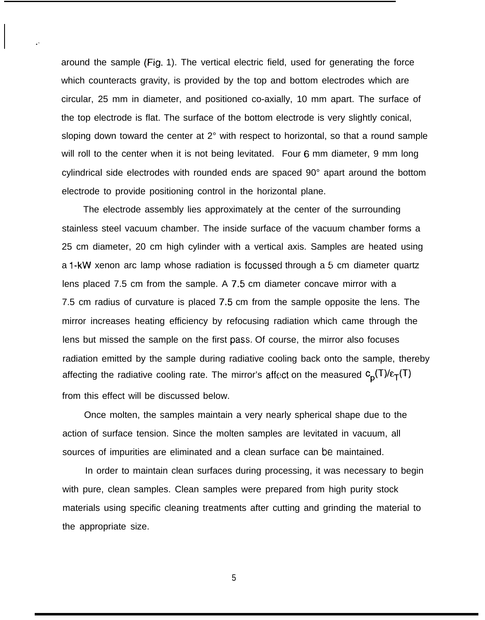around the sample (Fig. 1). The vertical electric field, used for generating the force which counteracts gravity, is provided by the top and bottom electrodes which are circular, 25 mm in diameter, and positioned co-axially, 10 mm apart. The surface of the top electrode is flat. The surface of the bottom electrode is very slightly conical, sloping down toward the center at 2° with respect to horizontal, so that a round sample will roll to the center when it is not being levitated. Four 6 mm diameter, 9 mm long cylindrical side electrodes with rounded ends are spaced 90° apart around the bottom electrode to provide positioning control in the horizontal plane.

. .

The electrode assembly lies approximately at the center of the surrounding stainless steel vacuum chamber. The inside surface of the vacuum chamber forms a 25 cm diameter, 20 cm high cylinder with a vertical axis. Samples are heated using a l-kW xenon arc lamp whose radiation is focussed through a 5 cm diameter quartz lens placed 7.5 cm from the sample. A 7,5 cm diameter concave mirror with a 7.5 cm radius of curvature is placed 7.5 cm from the sample opposite the lens. The mirror increases heating efficiency by refocusing radiation which came through the lens but missed the sample on the first pass. Of course, the mirror also focuses radiation emitted by the sample during radiative cooling back onto the sample, thereby affecting the radiative cooling rate. The mirror's affect on the measured  $c_p(T)/\epsilon_T(T)$ from this effect will be discussed below.

Once molten, the samples maintain a very nearly spherical shape due to the action of surface tension. Since the molten samples are levitated in vacuum, all sources of impurities are eliminated and a clean surface can be maintained.

In order to maintain clean surfaces during processing, it was necessary to begin with pure, clean samples. Clean samples were prepared from high purity stock materials using specific cleaning treatments after cutting and grinding the material to the appropriate size.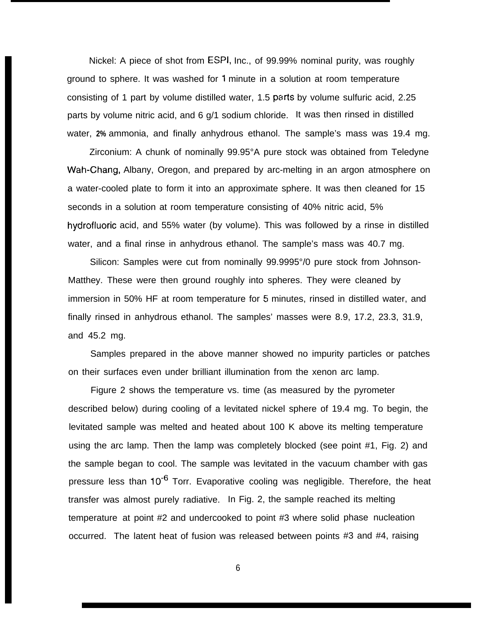Nickel: A piece of shot from ESPI, Inc., of 99.99% nominal purity, was roughly ground to sphere. It was washed for 1 minute in a solution at room temperature consisting of 1 part by volume distilled water, 1.5 parts by volume sulfuric acid, 2.25 parts by volume nitric acid, and 6 g/1 sodium chloride. It was then rinsed in distilled water, **2%** ammonia, and finally anhydrous ethanol. The sample's mass was 19.4 mg.

Zirconium: A chunk of nominally 99.95°A pure stock was obtained from Teledyne Wah-Chang, Albany, Oregon, and prepared by arc-melting in an argon atmosphere on a water-cooled plate to form it into an approximate sphere. It was then cleaned for 15 seconds in a solution at room temperature consisting of 40% nitric acid, 5% hydrofluoric acid, and 55% water (by volume). This was followed by a rinse in distilled water, and a final rinse in anhydrous ethanol. The sample's mass was 40.7 mg.

Silicon: Samples were cut from nominally 99.9995°/0 pure stock from Johnson-Matthey. These were then ground roughly into spheres. They were cleaned by immersion in 50% HF at room temperature for 5 minutes, rinsed in distilled water, and finally rinsed in anhydrous ethanol. The samples' masses were 8.9, 17.2, 23.3, 31.9, and 45.2 mg.

Samples prepared in the above manner showed no impurity particles or patches on their surfaces even under brilliant illumination from the xenon arc lamp.

Figure 2 shows the temperature vs. time (as measured by the pyrometer described below) during cooling of a levitated nickel sphere of 19.4 mg. To begin, the levitated sample was melted and heated about 100 K above its melting temperature using the arc lamp. Then the lamp was completely blocked (see point #1, Fig. 2) and the sample began to cool. The sample was levitated in the vacuum chamber with gas pressure less than  $10^{-6}$  Torr. Evaporative cooling was negligible. Therefore, the heat transfer was almost purely radiative. In Fig. 2, the sample reached its melting temperature at point #2 and undercooked to point #3 where solid phase nucleation occurred. The latent heat of fusion was released between points #3 and #4, raising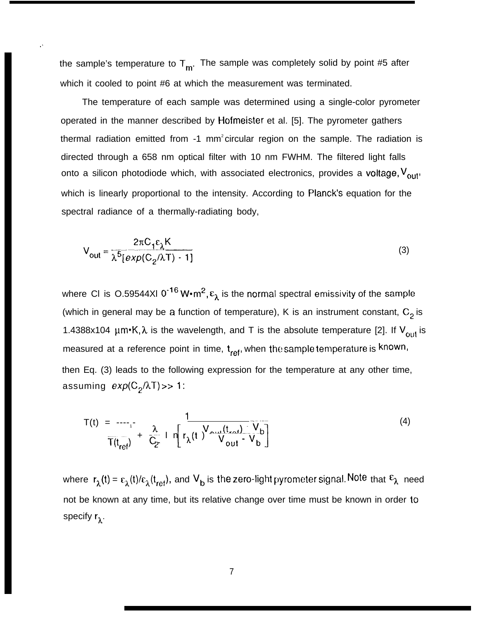the sample's temperature to  $T_m$ . The sample was completely solid by point #5 after which it cooled to point #6 at which the measurement was terminated.

. .

The temperature of each sample was determined using a single-color pyrometer operated in the manner described by Hofmeister et al. [5]. The pyrometer gathers thermal radiation emitted from  $-1$  mm<sup>2</sup> circular region on the sample. The radiation is directed through a 658 nm optical filter with 10 nm FWHM. The filtered light falls onto a silicon photodiode which, with associated electronics, provides a voltage,  $V_{\text{out}}$ which is linearly proportional to the intensity. According to Planck's equation for the spectral radiance of a thermally-radiating body,

$$
V_{\text{out}} = \frac{2\pi C_1 \varepsilon_{\lambda} K}{\lambda^5 [exp(C_2/\lambda T) - 1]}
$$
 (3)

where CI is O.59544XI 0<sup>-16</sup> W $\cdot$ m<sup>2</sup>,  $\epsilon_{\lambda}$  is the normal spectral emissivity of the sample (which in general may be a function of temperature), K is an instrument constant,  $C_2$  is 1.4388x104  $\mu$ m•K,  $\lambda$  is the wavelength, and T is the absolute temperature [2]. If V<sub>out</sub> is measured at a reference point in time,  $t_{ref}$ , when the sample temperature is known, then Eq. (3) leads to the following expression for the temperature at any other time, assuming  $exp(C_2/\lambda T) >> 1$ :

$$
T(t) = \frac{1}{T(t_{ref})} + \frac{\lambda}{C_2} \ln \left[ r_{\lambda}(t) \frac{V_{out}(t_{ref}) - V_b}{V_{out} - V_b} \right]
$$
 (4)

where  $r_\lambda(t) = \varepsilon_\lambda(t)/\varepsilon_\lambda(t_{ref})$ , and  $V_b$  is the zero-light pyrometer signal. Note that  $\varepsilon_\lambda$  need not be known at any time, but its relative change over time must be known in order to specify  $r_{\lambda}$ .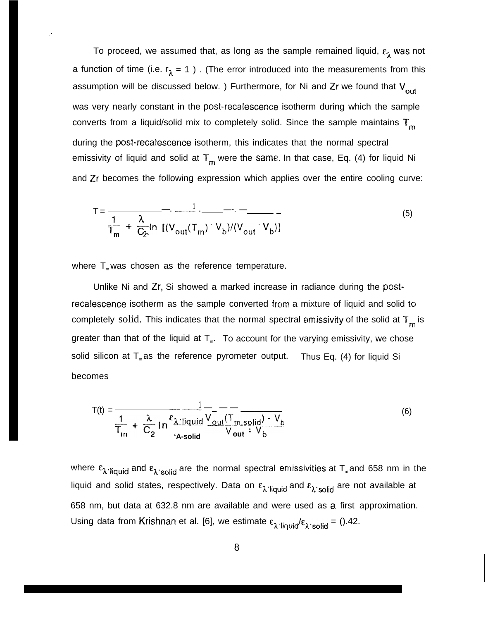To proceed, we assumed that, as long as the sample remained liquid,  $\varepsilon_1$  was not a function of time (i.e.  $r_{\lambda} = 1$  ). (The error introduced into the measurements from this assumption will be discussed below. ) Furthermore, for Ni and  $Zr$  we found that  $V_{\text{out}}$ was very nearly constant in the post-recalescence isotherm during which the sample converts from a liquid/solid mix to completely solid. Since the sample maintains  $T_m$ during the post-recalescence isotherm, this indicates that the normal spectral emissivity of liquid and solid at  $T_m$  were the same. In that case, Eq. (4) for liquid Ni and Zr becomes the following expression which applies over the entire cooling curve:

$$
T = \frac{1}{\frac{1}{T_m} + \frac{\lambda}{C_2} \ln \left[ (V_{\text{out}}(T_m) - V_b) / (V_{\text{out}} - V_b) \right]}
$$
(5)

where  $T_{m}$  was chosen as the reference temperature.

,.

Unlike Ni and Zr, Si showed a marked increase in radiance during the postrecalescence isotherm as the sample converted from a mixture of liquid and solid to completely solid. This indicates that the normal spectral emissivity of the solid at  $T_m$  is greater than that of the liquid at  $T_m$ . To account for the varying emissivity, we chose solid silicon at  $T_{m}$  as the reference pyrometer output. Thus Eq. (4) for liquid Si becomes

$$
T(t) = \frac{1}{\frac{1}{T_m} + \frac{\lambda}{C_2} \ln \frac{\epsilon_{\lambda} \cdot \text{liquid}}{A \cdot \text{solid}} \frac{V_{\text{out}}(T_{\text{m}, \text{solid}}) \cdot V_{\text{b}}}{V_{\text{out}} \cdot V_{\text{b}}}}
$$
(6)

where  $\varepsilon_{\lambda}$ -liquid and  $\varepsilon_{\lambda}$ -solid are the normal spectral emissivities at T<sub>m</sub> and 658 nm in the liquid and solid states, respectively. Data on  $\epsilon_{\lambda}$ -liquid and  $\epsilon_{\lambda}$ -solid are not available at 658 nm, but data at 632.8 nm are available and were used as a. first approximation. Using data from Krishnan et al. [6], we estimate  $\varepsilon_{\lambda}$ .<sub>liquid</sub>  $\varepsilon_{\lambda}$ .<sub>solid</sub> = ().42.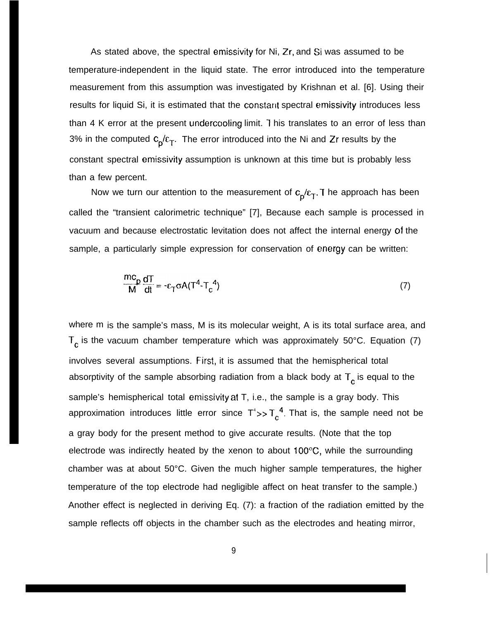As stated above, the spectral emissivity for Ni, Zr, and Si was assumed to be temperature-independent in the liquid state. The error introduced into the temperature measurement from this assumption was investigated by Krishnan et al. [6]. Using their results for liquid Si, it is estimated that the constant spectral emissivity introduces less than 4 K error at the present undercooling limit. T his translates to an error of less than 3% in the computed  $c_p/c_T$ . The error introduced into the Ni and Zr results by the constant spectral emissivity assumption is unknown at this time but is probably less than a few percent.

Now we turn our attention to the measurement of  $c_p/c_T$ . The approach has been called the "transient calorimetric technique" [7], Because each sample is processed in vacuum and because electrostatic levitation does not affect the internal energy of the sample, a particularly simple expression for conservation of energy can be written:

$$
\frac{mc_p}{M}\frac{dT}{dt} = -\varepsilon_T \sigma A (T^4 - T_c^4)
$$
 (7)

where m is the sample's mass, M is its molecular weight, A is its total surface area, and  $T_c$  is the vacuum chamber temperature which was approximately 50°C. Equation (7) involves several assumptions. First, it is assumed that the hemispherical total absorptivity of the sample absorbing radiation from a black body at  $T_c$  is equal to the sample's hemispherical total emissivity at T, i.e., the sample is a gray body. This approximation introduces little error since  $T^*>>T_A^4$ . That is, the sample need not be a gray body for the present method to give accurate results. (Note that the top electrode was indirectly heated by the xenon to about 100"C, while the surrounding chamber was at about 50°C. Given the much higher sample temperatures, the higher temperature of the top electrode had negligible affect on heat transfer to the sample.) Another effect is neglected in deriving Eq. (7): a fraction of the radiation emitted by the sample reflects off objects in the chamber such as the electrodes and heating mirror,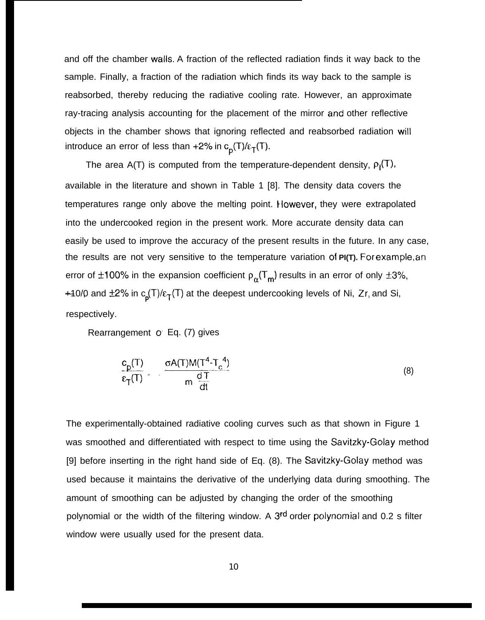and off the chamber walls. A fraction of the reflected radiation finds it way back to the sample. Finally, a fraction of the radiation which finds its way back to the sample is reabsorbed, thereby reducing the radiative cooling rate. However, an approximate ray-tracing analysis accounting for the placement of the mirror and other reflective objects in the chamber shows that ignoring reflected and reabsorbed radiation will introduce an error of less than +2% in  $c_p(T)/\epsilon_T(T)$ .

The area A(T) is computed from the temperature-dependent density,  $\rho_1(T)$ , available in the literature and shown in Table 1 [8]. The density data covers the temperatures range only above the melting point. However, they were extrapolated into the undercooked region in the present work. More accurate density data can easily be used to improve the accuracy of the present results in the future. In any case, the results are not very sensitive to the temperature variation of **PI(T)**. For example, an error of ±100% in the expansion coefficient  $p_{\alpha}(T_m)$  results in an error of only ±3%, +10/0 and  $\pm$ 2% in  $c_p(T)/\epsilon_T(T)$  at the deepest undercooking levels of Ni, Zr, and Si, respectively.

Rearrangement o Eq. (7) gives

$$
\frac{c_p(T)}{\varepsilon_T(T)} = -\frac{\sigma A(T)M(T^4 - T_c^4)}{m \frac{dT}{dt}}
$$
\n(8)

The experimentally-obtained radiative cooling curves such as that shown in Figure 1 was smoothed and differentiated with respect to time using the Savitzky-Golay method [9] before inserting in the right hand side of Eq. (8). The Savitzky-Golay method was used because it maintains the derivative of the underlying data during smoothing. The amount of smoothing can be adjusted by changing the order of the smoothing polynomial or the width of the filtering window. A 3<sup>rd</sup> order polynomial and 0.2 s filter window were usually used for the present data.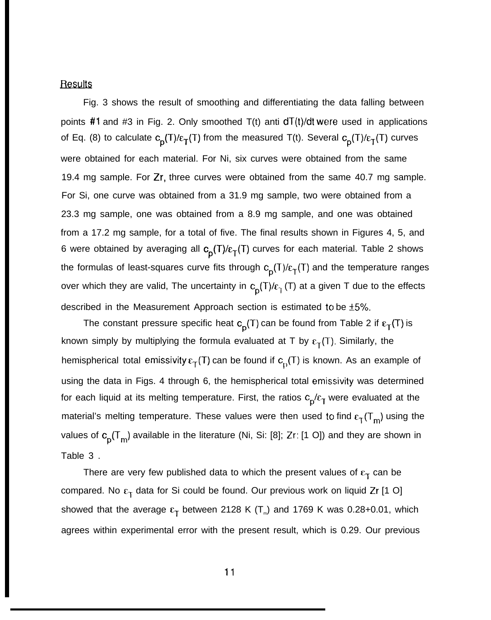## Results

Fig. 3 shows the result of smoothing and differentiating the data falling between points #1 and #3 in Fig. 2. Only smoothed  $T(t)$  anti  $dT(t)/dt$  were used in applications of Eq. (8) to calculate  $c_p(T)/\epsilon_T(T)$  from the measured T(t). Several  $c_p(T)/\epsilon_T(T)$  curves were obtained for each material. For Ni, six curves were obtained from the same 19.4 mg sample. For Zr, three curves were obtained from the same 40.7 mg sample. For Si, one curve was obtained from a 31.9 mg sample, two were obtained from a 23.3 mg sample, one was obtained from a 8.9 mg sample, and one was obtained from a 17.2 mg sample, for a total of five. The final results shown in Figures 4, 5, and 6 were obtained by averaging all  $c_p(T)/\epsilon_T(T)$  curves for each material. Table 2 shows the formulas of least-squares curve fits through  $c_p(T)/\epsilon_T(T)$  and the temperature ranges over which they are valid, The uncertainty in  $c_p(T)/c_q(T)$  at a given T due to the effects described in the Measurement Approach section is estimated to be  $\pm 5\%$ .

The constant pressure specific heat  $c_p(T)$  can be found from Table 2 if  $\epsilon_T(T)$  is known simply by multiplying the formula evaluated at T by  $\epsilon_T(T)$ . Similarly, the hemispherical total emissivity  $\epsilon_T(T)$  can be found if  $c_D(T)$  is known. As an example of using the data in Figs. 4 through 6, the hemispherical total emissivity was determined for each liquid at its melting temperature. First, the ratios  $c_p/c_T$  were evaluated at the material's melting temperature. These values were then used to find  $\epsilon_{\text{T}}(T_{\text{m}})$  using the values of  $c_p(T_m)$  available in the literature (Ni, Si: [8]; Zr: [1 O]) and they are shown in Table 3 .

There are very few published data to which the present values of  $\epsilon_T$  can be compared. No  $\epsilon_{\Upsilon}$  data for Si could be found. Our previous work on liquid Zr [1 O] showed that the average  $\varepsilon_{\text{T}}$  between 2128 K (T<sub>m</sub>) and 1769 K was 0.28+0.01, which agrees within experimental error with the present result, which is 0.29. Our previous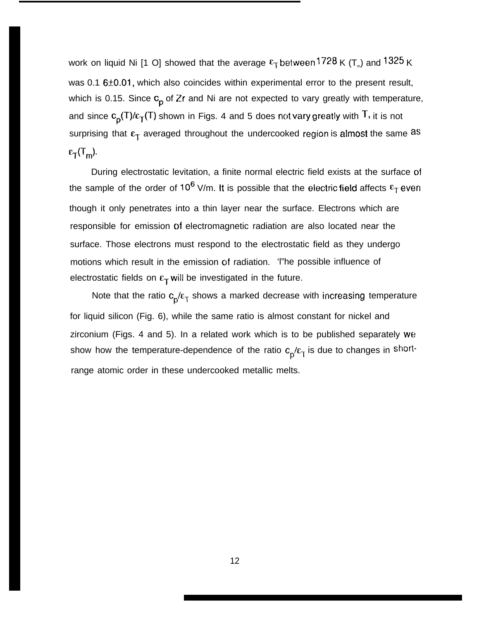work on liquid Ni [1 O] showed that the average  $\epsilon_{\rm T}$ between 1728 K (T $_{\textrm{\tiny{m}}}$ ) and 1325 K was  $0.1$  6 $\pm 0.01$ , which also coincides within experimental error to the present result, which is 0.15. Since  $c_p$  of Zr and Ni are not expected to vary greatly with temperature, and since  $c_p(T)/c_T(T)$  shown in Figs. 4 and 5 does not vary greatly with  $T$ , it is not surprising that  $\epsilon_T$  averaged throughout the undercooked region is almost the same as  $\varepsilon_{\rm T}$ (T<sub>m</sub>).

During electrostatic levitation, a finite normal electric field exists at the surface of the sample of the order of 10<sup>6</sup> V/m. It is possible that the electric field affects  $\epsilon_T$  even though it only penetrates into a thin layer near the surface. Electrons which are responsible for emission of electromagnetic radiation are also located near the surface. Those electrons must respond to the electrostatic field as they undergo motions which result in the emission of radiation. 'l"he possible influence of electrostatic fields on  $\varepsilon_T$  will be investigated in the future.

Note that the ratio  $c_p/\epsilon_\text{T}$  shows a marked decrease with increasing temperature for liquid silicon (Fig. 6), while the same ratio is almost constant for nickel and zirconium (Figs. 4 and 5). In a related work which is to be published separately we show how the temperature-dependence of the ratio  $c_p/\epsilon_\gamma$  is due to changes in shortrange atomic order in these undercooked metallic melts.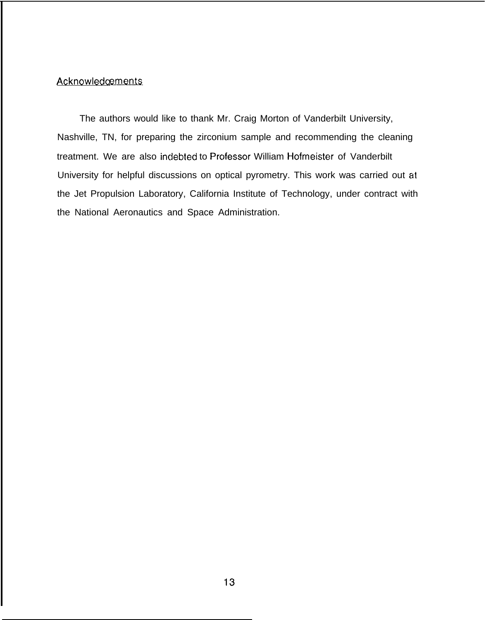#### **Acknowledgements**

The authors would like to thank Mr. Craig Morton of Vanderbilt University, Nashville, TN, for preparing the zirconium sample and recommending the cleaning treatment. We are also indebted to Professor William Hofmeister of Vanderbilt University for helpful discussions on optical pyrometry. This work was carried out at the Jet Propulsion Laboratory, California Institute of Technology, under contract with the National Aeronautics and Space Administration.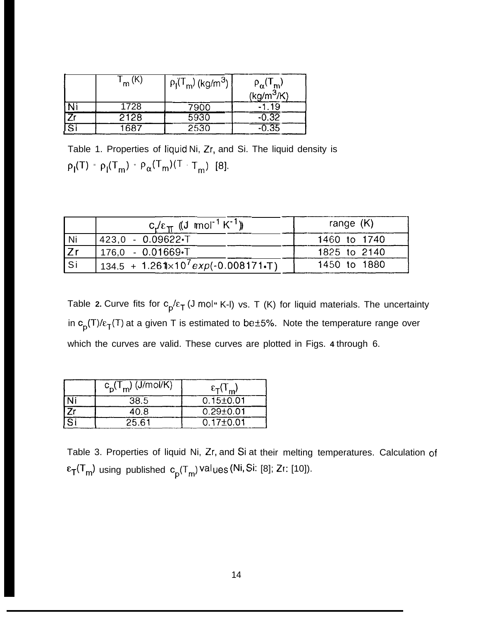|    | m    | $p_1(T_m)(kg/m^3)$ | $P_{\alpha}$<br>$\frac{r_{\alpha} \cdot r_{m'}}{(\text{kg/m}^3/\text{K})}$ |
|----|------|--------------------|----------------------------------------------------------------------------|
|    | 1728 | 7900               | -19<br>- 1                                                                 |
|    | 2128 | 5930               | $-0.32$                                                                    |
| Si | 1687 | 2530               | 0.35                                                                       |

Table 1. Properties of liquid Ni, Zr, and Si. The liquid density is  $\rho_{\mathsf{I}}(\mathsf{T})=\rho_{\mathsf{I}}(\mathsf{T}_{\mathsf{m}})+\rho_{\alpha}(\mathsf{T}_{\mathsf{m}})(\mathsf{T}\cdot\mathsf{T}_{\mathsf{m}})$  [8].

|     | $c_1/\epsilon_{\pi}$ ((J mol <sup>-1</sup> K <sup>-1</sup> ))   | range $(K)$  |
|-----|-----------------------------------------------------------------|--------------|
| Ni  | 423.0 - 0.09622.T                                               | 1460 to 1740 |
| Zr  | $176.0 - 0.01669 - T$                                           | 1825 to 2140 |
| Si. | 134.5 + 1.261 $\times$ 10 <sup>7</sup> $exp(-0.008171 \cdot T)$ | 1450 to 1880 |

Table **2.** Curve fits for  $c_p/\epsilon_T$  (J mol<sup>"</sup> K-I) vs. T (K) for liquid materials. The uncertainty in  $c_p(T)/\epsilon_T(T)$  at a given T is estimated to be  $\pm 5\%$ . Note the temperature range over which the curves are valid. These curves are plotted in Figs. **4** through 6.

|    | $c_p(T_m)$ (J/mol/K) | $\epsilon_{\rm T}(\mathsf{T}_{\rm m})$ |
|----|----------------------|----------------------------------------|
|    | 38.5                 | $0.15 \pm 0.01$                        |
|    | 40.8                 | $0.29 + 0.01$                          |
| নি | 25.61                | $0.17 + 0.01$                          |

Table 3. Properties of liquid Ni, Zr, and Si at their melting temperatures. Calculation  $\epsilon_{\mathsf{T}}(\mathsf{T}_{\mathsf{m}})$  using published  $\mathsf{c}_\mathsf{n}(\mathsf{T}_{\mathsf{m}})$ val $\mathsf{u}\mathsf{e}\mathsf{s}$ (Ni,Si: [8]; Zr: [10]).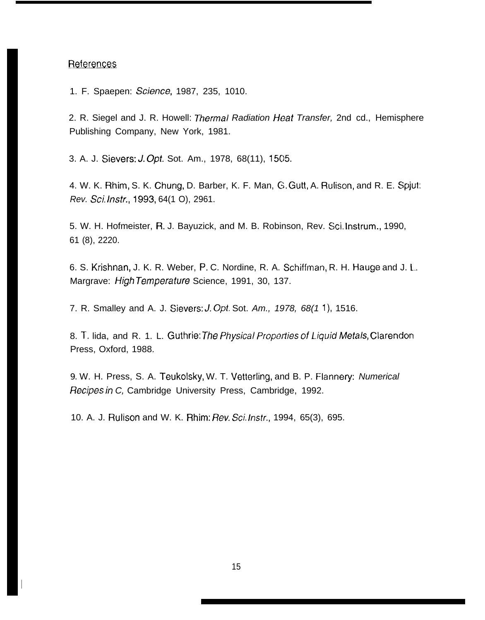## References

I

1. F. Spaepen: Scjence, 1987, 235, 1010.

2. R. Siegel and J. R. Howell: Thermal Radiation Heat Transfer, 2nd cd., Hemisphere Publishing Company, New York, 1981.

3. A. J. Sievers: J. Opt. Sot. Am., 1978, 68(11), 1505.

4. W. K. Rhim, S. K. Chung, D. Barber, K. F. Man, G. Gutt, A. Rulison, and R. E. Spjut: Rev. Sci. hstr., 1993, 64(1 O), 2961.

5. W. H. Hofmeister, R, J. Bayuzick, and M. B. Robinson, Rev. Sci. Instrum., 1990, 61 (8), 2220.

6. S. Krishnan, J. K. R. Weber, P. C. Nordine, R. A. Schiffman, R. H. Hauge and J. 1... Margrave: High Temperature Science, 1991, 30, 137.

7. R. Smalley and A. J. Sievers: J. Opt. Sot. Am., 1978, 68(11), 1516.

8. T. lida, and R. 1. L. Guthrie: The Physical Properties of Liquid Metals, Clarendon Press, Oxford, 1988.

9. W. H. Press, S. A. Teukolsky, W. T. Vetterling, and B. P. Flannery: Numerical Recipes in C, Cambridge University Press, Cambridge, 1992.

10. A. J. Rulison and W. K. Rhim: Rev. Sci. Instr., 1994, 65(3), 695.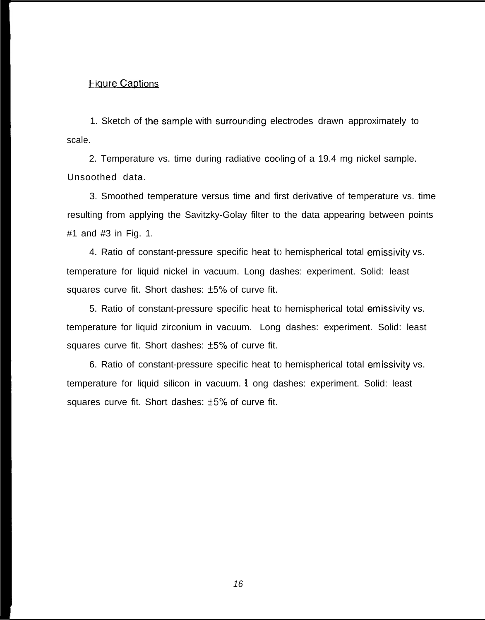# **Figure Captions**

1. Sketch of the sample with surrounding electrodes drawn approximately to scale.

2. Temperature vs. time during radiative cooling of a 19.4 mg nickel sample. Unsoothed data.

3. Smoothed temperature versus time and first derivative of temperature vs. time resulting from applying the Savitzky-Golay filter to the data appearing between points #1 and #3 in Fig. 1.

4. Ratio of constant-pressure specific heat to hemispherical total emissivity vs. temperature for liquid nickel in vacuum. Long dashes: experiment. Solid: least squares curve fit. Short dashes: ±5% of curve fit.

5. Ratio of constant-pressure specific heat to hemispherical total emissivity vs. temperature for liquid zirconium in vacuum. Long dashes: experiment. Solid: least squares curve fit. Short dashes: ±5% of curve fit.

6. Ratio of constant-pressure specific heat to hemispherical total emissivity vs. temperature for liquid silicon in vacuum. 1 ong dashes: experiment. Solid: least squares curve fit. Short dashes: ±5% of curve fit.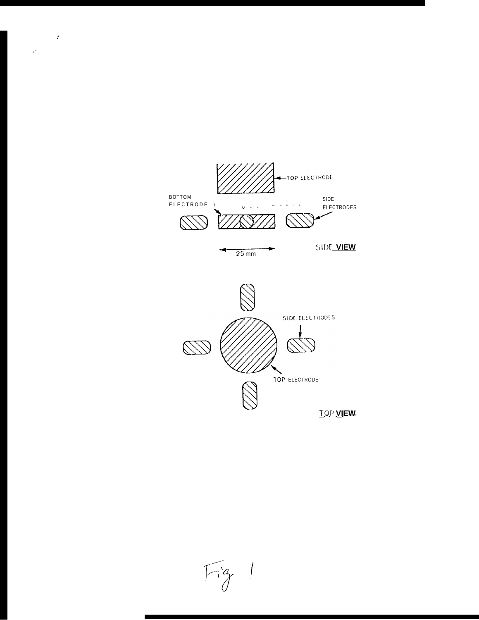$Fig 1$ 



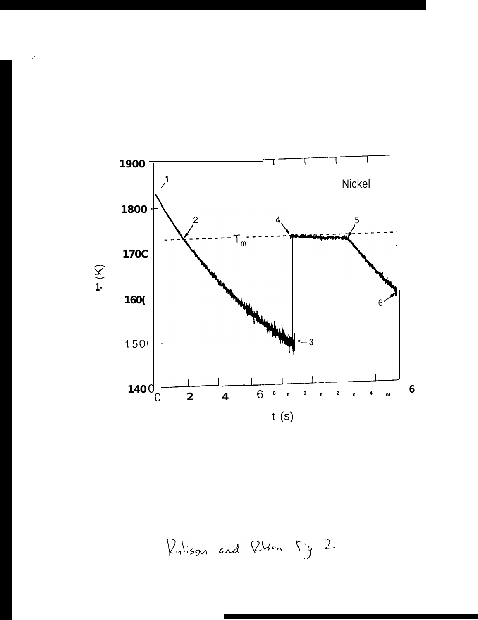

 $\mathcal{I}$ 

Rulison and Rhin Fig. 2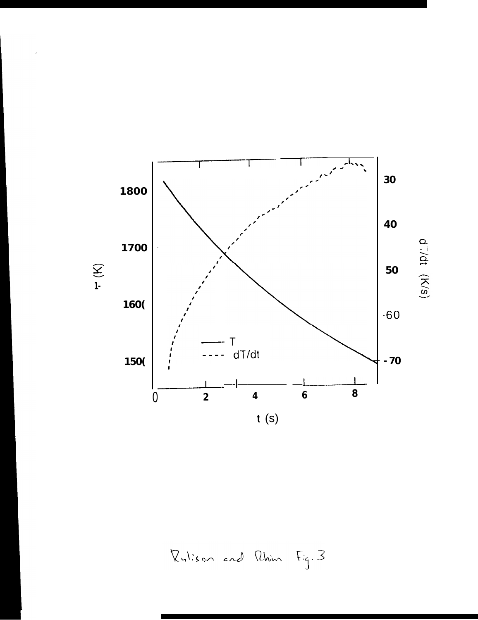

Rulison and Rhim Fig. 3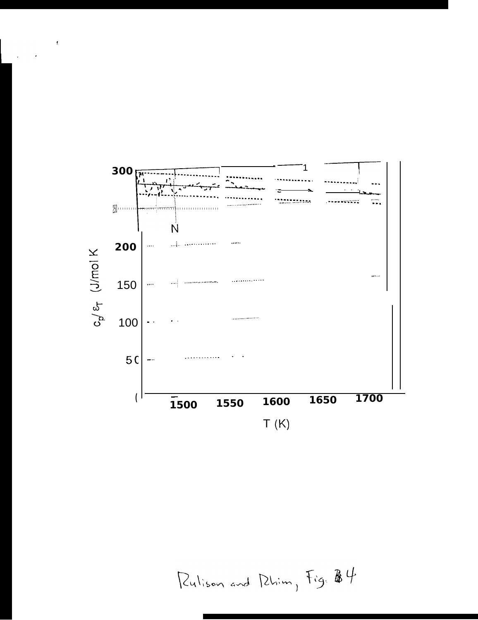

 $\pmb{\cdot}$ 

 $\cdot$ 

Rulison and Phim, Fig. 84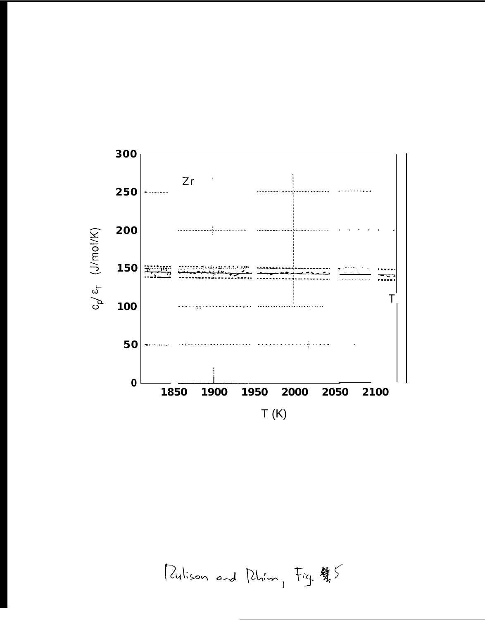

Pulison and Phim, Fig. \$5